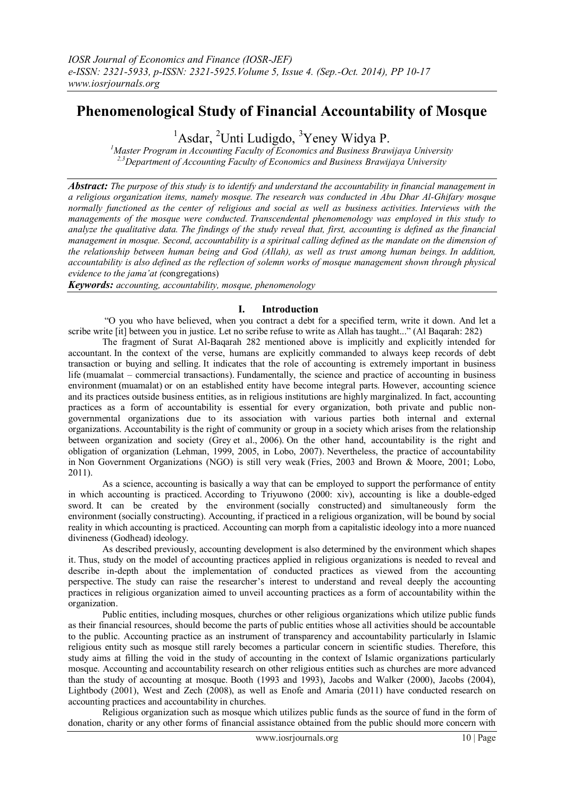# **Phenomenological Study of Financial Accountability of Mosque**

<sup>1</sup>Asdar, <sup>2</sup>Unti Ludigdo, <sup>3</sup>Yeney Widya P.

*<sup>1</sup>Master Program in Accounting Faculty of Economics and Business Brawijaya University 2,3Department of Accounting Faculty of Economics and Business Brawijaya University* 

*Abstract: The purpose of this study is to identify and understand the accountability in financial management in a religious organization items, namely mosque. The research was conducted in Abu Dhar Al-Ghifary mosque normally functioned as the center of religious and social as well as business activities. Interviews with the managements of the mosque were conducted. Transcendental phenomenology was employed in this study to analyze the qualitative data. The findings of the study reveal that, first, accounting is defined as the financial management in mosque. Second, accountability is a spiritual calling defined as the mandate on the dimension of the relationship between human being and God (Allah), as well as trust among human beings. In addition, accountability is also defined as the reflection of solemn works of mosque management shown through physical evidence to the jama'at (*congregations)

*Keywords: accounting, accountability, mosque, phenomenology*

# **I. Introduction**

"O you who have believed, when you contract a debt for a specified term, write it down. And let a scribe write [it] between you in justice. Let no scribe refuse to write as Allah has taught..." (Al Baqarah: 282)

The fragment of Surat Al-Baqarah 282 mentioned above is implicitly and explicitly intended for accountant. In the context of the verse, humans are explicitly commanded to always keep records of debt transaction or buying and selling. It indicates that the role of accounting is extremely important in business life (muamalat – commercial transactions). Fundamentally, the science and practice of accounting in business environment (muamalat) or on an established entity have become integral parts. However, accounting science and its practices outside business entities, as in religious institutions are highly marginalized. In fact, accounting practices as a form of accountability is essential for every organization, both private and public nongovernmental organizations due to its association with various parties both internal and external organizations. Accountability is the right of community or group in a society which arises from the relationship between organization and society (Grey et al., 2006). On the other hand, accountability is the right and obligation of organization (Lehman, 1999, 2005, in Lobo, 2007). Nevertheless, the practice of accountability in Non Government Organizations (NGO) is still very weak (Fries, 2003 and Brown & Moore, 2001; Lobo, 2011).

As a science, accounting is basically a way that can be employed to support the performance of entity in which accounting is practiced. According to Triyuwono (2000: xiv), accounting is like a double-edged sword. It can be created by the environment (socially constructed) and simultaneously form the environment (socially constructing). Accounting, if practiced in a religious organization, will be bound by social reality in which accounting is practiced. Accounting can morph from a capitalistic ideology into a more nuanced divineness (Godhead) ideology.

As described previously, accounting development is also determined by the environment which shapes it. Thus, study on the model of accounting practices applied in religious organizations is needed to reveal and describe in-depth about the implementation of conducted practices as viewed from the accounting perspective. The study can raise the researcher's interest to understand and reveal deeply the accounting practices in religious organization aimed to unveil accounting practices as a form of accountability within the organization.

Public entities, including mosques, churches or other religious organizations which utilize public funds as their financial resources, should become the parts of public entities whose all activities should be accountable to the public. Accounting practice as an instrument of transparency and accountability particularly in Islamic religious entity such as mosque still rarely becomes a particular concern in scientific studies. Therefore, this study aims at filling the void in the study of accounting in the context of Islamic organizations particularly mosque. Accounting and accountability research on other religious entities such as churches are more advanced than the study of accounting at mosque. Booth (1993 and 1993), Jacobs and Walker (2000), Jacobs (2004), Lightbody (2001), West and Zech (2008), as well as Enofe and Amaria (2011) have conducted research on accounting practices and accountability in churches.

Religious organization such as mosque which utilizes public funds as the source of fund in the form of donation, charity or any other forms of financial assistance obtained from the public should more concern with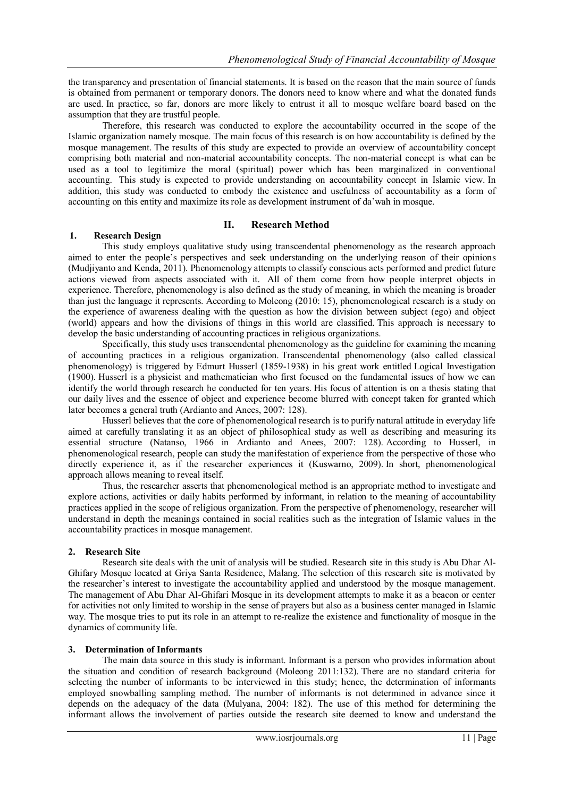the transparency and presentation of financial statements. It is based on the reason that the main source of funds is obtained from permanent or temporary donors. The donors need to know where and what the donated funds are used. In practice, so far, donors are more likely to entrust it all to mosque welfare board based on the assumption that they are trustful people.

Therefore, this research was conducted to explore the accountability occurred in the scope of the Islamic organization namely mosque. The main focus of this research is on how accountability is defined by the mosque management. The results of this study are expected to provide an overview of accountability concept comprising both material and non-material accountability concepts. The non-material concept is what can be used as a tool to legitimize the moral (spiritual) power which has been marginalized in conventional accounting. This study is expected to provide understanding on accountability concept in Islamic view. In addition, this study was conducted to embody the existence and usefulness of accountability as a form of accounting on this entity and maximize its role as development instrument of da'wah in mosque.

# **II. Research Method**

## **1. Research Design**

This study employs qualitative study using transcendental phenomenology as the research approach aimed to enter the people's perspectives and seek understanding on the underlying reason of their opinions (Mudjiyanto and Kenda, 2011). Phenomenology attempts to classify conscious acts performed and predict future actions viewed from aspects associated with it. All of them come from how people interpret objects in experience. Therefore, phenomenology is also defined as the study of meaning, in which the meaning is broader than just the language it represents. According to Moleong (2010: 15), phenomenological research is a study on the experience of awareness dealing with the question as how the division between subject (ego) and object (world) appears and how the divisions of things in this world are classified. This approach is necessary to develop the basic understanding of accounting practices in religious organizations.

Specifically, this study uses transcendental phenomenology as the guideline for examining the meaning of accounting practices in a religious organization. Transcendental phenomenology (also called classical phenomenology) is triggered by Edmurt Husserl (1859-1938) in his great work entitled Logical Investigation (1900). Husserl is a physicist and mathematician who first focused on the fundamental issues of how we can identify the world through research he conducted for ten years. His focus of attention is on a thesis stating that our daily lives and the essence of object and experience become blurred with concept taken for granted which later becomes a general truth (Ardianto and Anees, 2007: 128).

Husserl believes that the core of phenomenological research is to purify natural attitude in everyday life aimed at carefully translating it as an object of philosophical study as well as describing and measuring its essential structure (Natanso, 1966 in Ardianto and Anees, 2007: 128). According to Husserl, in phenomenological research, people can study the manifestation of experience from the perspective of those who directly experience it, as if the researcher experiences it (Kuswarno, 2009). In short, phenomenological approach allows meaning to reveal itself.

Thus, the researcher asserts that phenomenological method is an appropriate method to investigate and explore actions, activities or daily habits performed by informant, in relation to the meaning of accountability practices applied in the scope of religious organization. From the perspective of phenomenology, researcher will understand in depth the meanings contained in social realities such as the integration of Islamic values in the accountability practices in mosque management.

# **2. Research Site**

Research site deals with the unit of analysis will be studied. Research site in this study is Abu Dhar Al-Ghifary Mosque located at Griya Santa Residence, Malang. The selection of this research site is motivated by the researcher's interest to investigate the accountability applied and understood by the mosque management. The management of Abu Dhar Al-Ghifari Mosque in its development attempts to make it as a beacon or center for activities not only limited to worship in the sense of prayers but also as a business center managed in Islamic way. The mosque tries to put its role in an attempt to re-realize the existence and functionality of mosque in the dynamics of community life.

### **3. Determination of Informants**

The main data source in this study is informant. Informant is a person who provides information about the situation and condition of research background (Moleong 2011:132). There are no standard criteria for selecting the number of informants to be interviewed in this study; hence, the determination of informants employed snowballing sampling method. The number of informants is not determined in advance since it depends on the adequacy of the data (Mulyana, 2004: 182). The use of this method for determining the informant allows the involvement of parties outside the research site deemed to know and understand the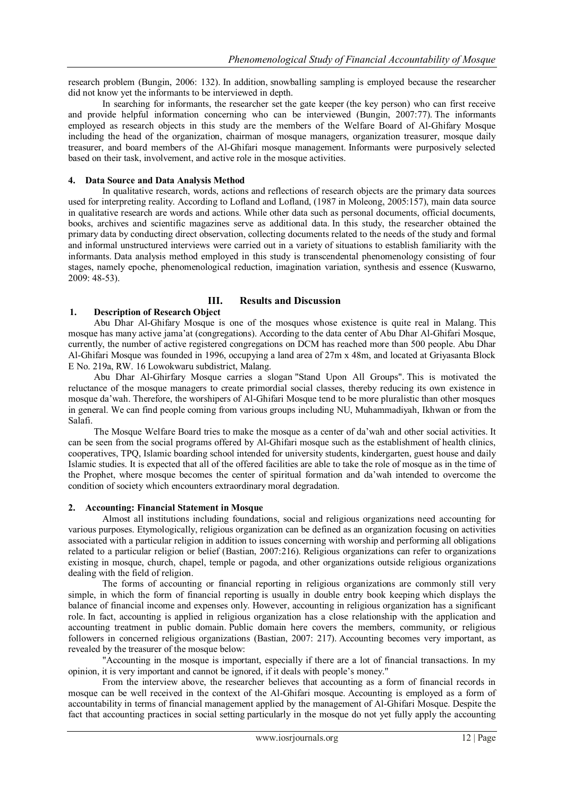research problem (Bungin, 2006: 132). In addition, snowballing sampling is employed because the researcher did not know yet the informants to be interviewed in depth.

In searching for informants, the researcher set the gate keeper (the key person) who can first receive and provide helpful information concerning who can be interviewed (Bungin, 2007:77). The informants employed as research objects in this study are the members of the Welfare Board of Al-Ghifary Mosque including the head of the organization, chairman of mosque managers, organization treasurer, mosque daily treasurer, and board members of the Al-Ghifari mosque management. Informants were purposively selected based on their task, involvement, and active role in the mosque activities.

## **4. Data Source and Data Analysis Method**

In qualitative research, words, actions and reflections of research objects are the primary data sources used for interpreting reality. According to Lofland and Lofland, (1987 in Moleong, 2005:157), main data source in qualitative research are words and actions. While other data such as personal documents, official documents, books, archives and scientific magazines serve as additional data. In this study, the researcher obtained the primary data by conducting direct observation, collecting documents related to the needs of the study and formal and informal unstructured interviews were carried out in a variety of situations to establish familiarity with the informants. Data analysis method employed in this study is transcendental phenomenology consisting of four stages, namely epoche, phenomenological reduction, imagination variation, synthesis and essence (Kuswarno, 2009: 48-53).

# **III. Results and Discussion**

# **1. Description of Research Object**

Abu Dhar Al-Ghifary Mosque is one of the mosques whose existence is quite real in Malang. This mosque has many active jama'at (congregations). According to the data center of Abu Dhar Al-Ghifari Mosque, currently, the number of active registered congregations on DCM has reached more than 500 people. Abu Dhar Al-Ghifari Mosque was founded in 1996, occupying a land area of 27m x 48m, and located at Griyasanta Block E No. 219a, RW. 16 Lowokwaru subdistrict, Malang.

Abu Dhar Al-Ghirfary Mosque carries a slogan "Stand Upon All Groups". This is motivated the reluctance of the mosque managers to create primordial social classes, thereby reducing its own existence in mosque da'wah. Therefore, the worshipers of Al-Ghifari Mosque tend to be more pluralistic than other mosques in general. We can find people coming from various groups including NU, Muhammadiyah, Ikhwan or from the Salafi.

The Mosque Welfare Board tries to make the mosque as a center of da'wah and other social activities. It can be seen from the social programs offered by Al-Ghifari mosque such as the establishment of health clinics, cooperatives, TPQ, Islamic boarding school intended for university students, kindergarten, guest house and daily Islamic studies. It is expected that all of the offered facilities are able to take the role of mosque as in the time of the Prophet, where mosque becomes the center of spiritual formation and da'wah intended to overcome the condition of society which encounters extraordinary moral degradation.

### **2. Accounting: Financial Statement in Mosque**

Almost all institutions including foundations, social and religious organizations need accounting for various purposes. Etymologically, religious organization can be defined as an organization focusing on activities associated with a particular religion in addition to issues concerning with worship and performing all obligations related to a particular religion or belief (Bastian, 2007:216). Religious organizations can refer to organizations existing in mosque, church, chapel, temple or pagoda, and other organizations outside religious organizations dealing with the field of religion.

The forms of accounting or financial reporting in religious organizations are commonly still very simple, in which the form of financial reporting is usually in double entry book keeping which displays the balance of financial income and expenses only. However, accounting in religious organization has a significant role. In fact, accounting is applied in religious organization has a close relationship with the application and accounting treatment in public domain. Public domain here covers the members, community, or religious followers in concerned religious organizations (Bastian, 2007: 217). Accounting becomes very important, as revealed by the treasurer of the mosque below:

"Accounting in the mosque is important, especially if there are a lot of financial transactions. In my opinion, it is very important and cannot be ignored, if it deals with people's money."

From the interview above, the researcher believes that accounting as a form of financial records in mosque can be well received in the context of the Al-Ghifari mosque. Accounting is employed as a form of accountability in terms of financial management applied by the management of Al-Ghifari Mosque. Despite the fact that accounting practices in social setting particularly in the mosque do not yet fully apply the accounting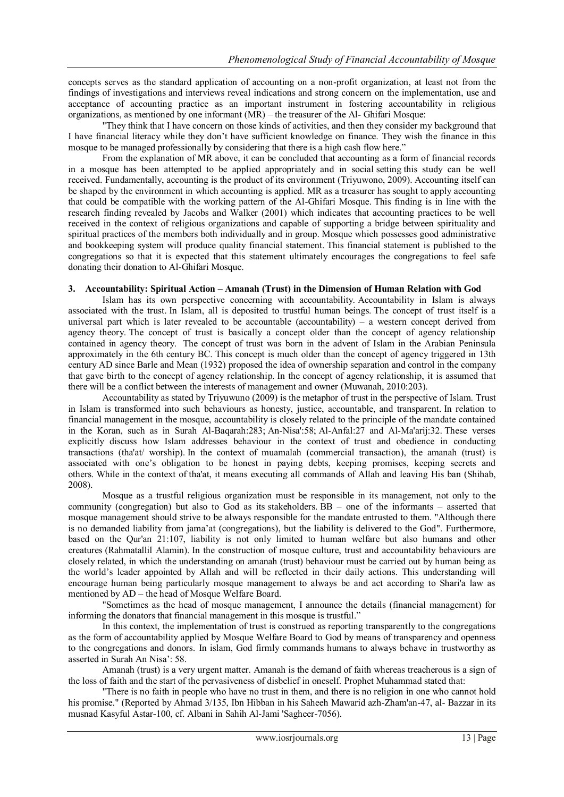concepts serves as the standard application of accounting on a non-profit organization, at least not from the findings of investigations and interviews reveal indications and strong concern on the implementation, use and acceptance of accounting practice as an important instrument in fostering accountability in religious organizations, as mentioned by one informant (MR) – the treasurer of the Al- Ghifari Mosque:

"They think that I have concern on those kinds of activities, and then they consider my background that I have financial literacy while they don't have sufficient knowledge on finance. They wish the finance in this mosque to be managed professionally by considering that there is a high cash flow here."

From the explanation of MR above, it can be concluded that accounting as a form of financial records in a mosque has been attempted to be applied appropriately and in social setting this study can be well received. Fundamentally, accounting is the product of its environment (Triyuwono, 2009). Accounting itself can be shaped by the environment in which accounting is applied. MR as a treasurer has sought to apply accounting that could be compatible with the working pattern of the Al-Ghifari Mosque. This finding is in line with the research finding revealed by Jacobs and Walker (2001) which indicates that accounting practices to be well received in the context of religious organizations and capable of supporting a bridge between spirituality and spiritual practices of the members both individually and in group. Mosque which possesses good administrative and bookkeeping system will produce quality financial statement. This financial statement is published to the congregations so that it is expected that this statement ultimately encourages the congregations to feel safe donating their donation to Al-Ghifari Mosque.

## **3. Accountability: Spiritual Action – Amanah (Trust) in the Dimension of Human Relation with God**

Islam has its own perspective concerning with accountability. Accountability in Islam is always associated with the trust. In Islam, all is deposited to trustful human beings. The concept of trust itself is a universal part which is later revealed to be accountable (accountability) – a western concept derived from agency theory. The concept of trust is basically a concept older than the concept of agency relationship contained in agency theory. The concept of trust was born in the advent of Islam in the Arabian Peninsula approximately in the 6th century BC. This concept is much older than the concept of agency triggered in 13th century AD since Barle and Mean (1932) proposed the idea of ownership separation and control in the company that gave birth to the concept of agency relationship. In the concept of agency relationship, it is assumed that there will be a conflict between the interests of management and owner (Muwanah, 2010:203).

Accountability as stated by Triyuwuno (2009) is the metaphor of trust in the perspective of Islam. Trust in Islam is transformed into such behaviours as honesty, justice, accountable, and transparent. In relation to financial management in the mosque, accountability is closely related to the principle of the mandate contained in the Koran, such as in Surah Al-Baqarah:283; An-Nisa':58; Al-Anfal:27 and Al-Ma'arij:32. These verses explicitly discuss how Islam addresses behaviour in the context of trust and obedience in conducting transactions (tha'at/ worship). In the context of muamalah (commercial transaction), the amanah (trust) is associated with one's obligation to be honest in paying debts, keeping promises, keeping secrets and others. While in the context of tha'at, it means executing all commands of Allah and leaving His ban (Shihab, 2008).

Mosque as a trustful religious organization must be responsible in its management, not only to the community (congregation) but also to God as its stakeholders. BB – one of the informants – asserted that mosque management should strive to be always responsible for the mandate entrusted to them. "Although there is no demanded liability from jama'at (congregations), but the liability is delivered to the God". Furthermore, based on the Qur'an 21:107, liability is not only limited to human welfare but also humans and other creatures (Rahmatallil Alamin). In the construction of mosque culture, trust and accountability behaviours are closely related, in which the understanding on amanah (trust) behaviour must be carried out by human being as the world's leader appointed by Allah and will be reflected in their daily actions. This understanding will encourage human being particularly mosque management to always be and act according to Shari'a law as mentioned by AD – the head of Mosque Welfare Board.

"Sometimes as the head of mosque management, I announce the details (financial management) for informing the donators that financial management in this mosque is trustful."

In this context, the implementation of trust is construed as reporting transparently to the congregations as the form of accountability applied by Mosque Welfare Board to God by means of transparency and openness to the congregations and donors. In islam, God firmly commands humans to always behave in trustworthy as asserted in Surah An Nisa': 58.

Amanah (trust) is a very urgent matter. Amanah is the demand of faith whereas treacherous is a sign of the loss of faith and the start of the pervasiveness of disbelief in oneself. Prophet Muhammad stated that:

"There is no faith in people who have no trust in them, and there is no religion in one who cannot hold his promise." (Reported by Ahmad 3/135, Ibn Hibban in his Saheeh Mawarid azh-Zham'an-47, al- Bazzar in its musnad Kasyful Astar-100, cf. Albani in Sahih Al-Jami 'Sagheer-7056).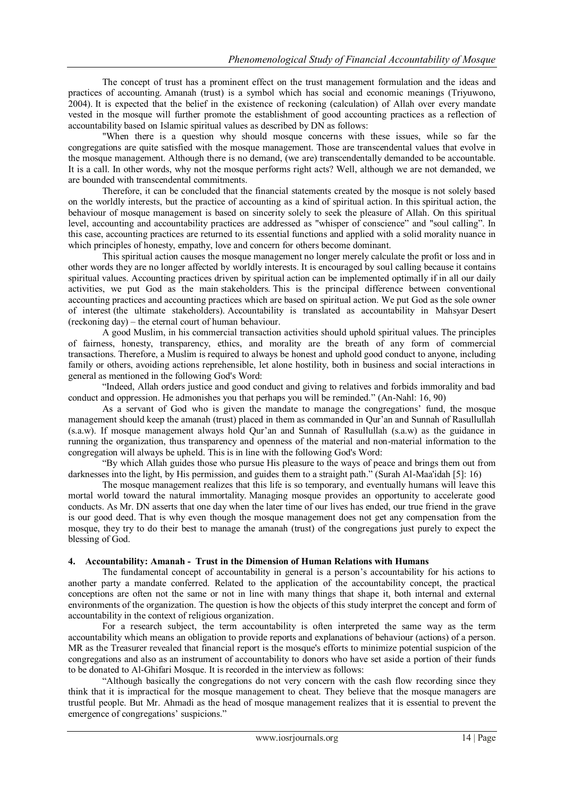The concept of trust has a prominent effect on the trust management formulation and the ideas and practices of accounting. Amanah (trust) is a symbol which has social and economic meanings (Triyuwono, 2004). It is expected that the belief in the existence of reckoning (calculation) of Allah over every mandate vested in the mosque will further promote the establishment of good accounting practices as a reflection of accountability based on Islamic spiritual values as described by DN as follows:

"When there is a question why should mosque concerns with these issues, while so far the congregations are quite satisfied with the mosque management. Those are transcendental values that evolve in the mosque management. Although there is no demand, (we are) transcendentally demanded to be accountable. It is a call. In other words, why not the mosque performs right acts? Well, although we are not demanded, we are bounded with transcendental commitments.

Therefore, it can be concluded that the financial statements created by the mosque is not solely based on the worldly interests, but the practice of accounting as a kind of spiritual action. In this spiritual action, the behaviour of mosque management is based on sincerity solely to seek the pleasure of Allah. On this spiritual level, accounting and accountability practices are addressed as "whisper of conscience" and "soul calling". In this case, accounting practices are returned to its essential functions and applied with a solid morality nuance in which principles of honesty, empathy, love and concern for others become dominant.

This spiritual action causes the mosque management no longer merely calculate the profit or loss and in other words they are no longer affected by worldly interests. It is encouraged by soul calling because it contains spiritual values. Accounting practices driven by spiritual action can be implemented optimally if in all our daily activities, we put God as the main stakeholders. This is the principal difference between conventional accounting practices and accounting practices which are based on spiritual action. We put God as the sole owner of interest (the ultimate stakeholders). Accountability is translated as accountability in Mahsyar Desert (reckoning day) – the eternal court of human behaviour.

A good Muslim, in his commercial transaction activities should uphold spiritual values. The principles of fairness, honesty, transparency, ethics, and morality are the breath of any form of commercial transactions. Therefore, a Muslim is required to always be honest and uphold good conduct to anyone, including family or others, avoiding actions reprehensible, let alone hostility, both in business and social interactions in general as mentioned in the following God's Word:

"Indeed, Allah orders justice and good conduct and giving to relatives and forbids immorality and bad conduct and oppression. He admonishes you that perhaps you will be reminded." (An-Nahl: 16, 90)

As a servant of God who is given the mandate to manage the congregations' fund, the mosque management should keep the amanah (trust) placed in them as commanded in Qur'an and Sunnah of Rasullullah (s.a.w). If mosque management always hold Qur'an and Sunnah of Rasullullah (s.a.w) as the guidance in running the organization, thus transparency and openness of the material and non-material information to the congregation will always be upheld. This is in line with the following God's Word:

"By which Allah guides those who pursue His pleasure to the ways of peace and brings them out from darknesses into the light, by His permission, and guides them to a straight path." (Surah Al-Maa'idah [5]: 16)

The mosque management realizes that this life is so temporary, and eventually humans will leave this mortal world toward the natural immortality. Managing mosque provides an opportunity to accelerate good conducts. As Mr. DN asserts that one day when the later time of our lives has ended, our true friend in the grave is our good deed. That is why even though the mosque management does not get any compensation from the mosque, they try to do their best to manage the amanah (trust) of the congregations just purely to expect the blessing of God.

# **4. Accountability: Amanah - Trust in the Dimension of Human Relations with Humans**

The fundamental concept of accountability in general is a person's accountability for his actions to another party a mandate conferred. Related to the application of the accountability concept, the practical conceptions are often not the same or not in line with many things that shape it, both internal and external environments of the organization. The question is how the objects of this study interpret the concept and form of accountability in the context of religious organization.

For a research subject, the term accountability is often interpreted the same way as the term accountability which means an obligation to provide reports and explanations of behaviour (actions) of a person. MR as the Treasurer revealed that financial report is the mosque's efforts to minimize potential suspicion of the congregations and also as an instrument of accountability to donors who have set aside a portion of their funds to be donated to Al-Ghifari Mosque. It is recorded in the interview as follows:

"Although basically the congregations do not very concern with the cash flow recording since they think that it is impractical for the mosque management to cheat. They believe that the mosque managers are trustful people. But Mr. Ahmadi as the head of mosque management realizes that it is essential to prevent the emergence of congregations' suspicions."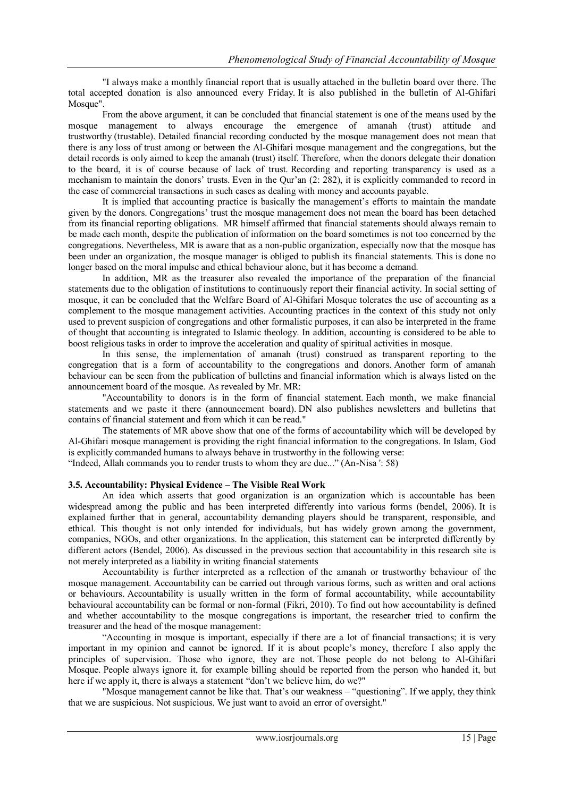"I always make a monthly financial report that is usually attached in the bulletin board over there. The total accepted donation is also announced every Friday. It is also published in the bulletin of Al-Ghifari Mosque".

From the above argument, it can be concluded that financial statement is one of the means used by the mosque management to always encourage the emergence of amanah (trust) attitude and trustworthy (trustable). Detailed financial recording conducted by the mosque management does not mean that there is any loss of trust among or between the Al-Ghifari mosque management and the congregations, but the detail records is only aimed to keep the amanah (trust) itself. Therefore, when the donors delegate their donation to the board, it is of course because of lack of trust. Recording and reporting transparency is used as a mechanism to maintain the donors' trusts. Even in the Qur'an (2: 282), it is explicitly commanded to record in the case of commercial transactions in such cases as dealing with money and accounts payable.

It is implied that accounting practice is basically the management's efforts to maintain the mandate given by the donors. Congregations' trust the mosque management does not mean the board has been detached from its financial reporting obligations. MR himself affirmed that financial statements should always remain to be made each month, despite the publication of information on the board sometimes is not too concerned by the congregations. Nevertheless, MR is aware that as a non-public organization, especially now that the mosque has been under an organization, the mosque manager is obliged to publish its financial statements. This is done no longer based on the moral impulse and ethical behaviour alone, but it has become a demand.

In addition, MR as the treasurer also revealed the importance of the preparation of the financial statements due to the obligation of institutions to continuously report their financial activity. In social setting of mosque, it can be concluded that the Welfare Board of Al-Ghifari Mosque tolerates the use of accounting as a complement to the mosque management activities. Accounting practices in the context of this study not only used to prevent suspicion of congregations and other formalistic purposes, it can also be interpreted in the frame of thought that accounting is integrated to Islamic theology. In addition, accounting is considered to be able to boost religious tasks in order to improve the acceleration and quality of spiritual activities in mosque.

In this sense, the implementation of amanah (trust) construed as transparent reporting to the congregation that is a form of accountability to the congregations and donors. Another form of amanah behaviour can be seen from the publication of bulletins and financial information which is always listed on the announcement board of the mosque. As revealed by Mr. MR:

"Accountability to donors is in the form of financial statement. Each month, we make financial statements and we paste it there (announcement board). DN also publishes newsletters and bulletins that contains of financial statement and from which it can be read."

The statements of MR above show that one of the forms of accountability which will be developed by Al-Ghifari mosque management is providing the right financial information to the congregations. In Islam, God is explicitly commanded humans to always behave in trustworthy in the following verse:

"Indeed, Allah commands you to render trusts to whom they are due..." (An-Nisa ': 58)

# **3.5. Accountability: Physical Evidence – The Visible Real Work**

An idea which asserts that good organization is an organization which is accountable has been widespread among the public and has been interpreted differently into various forms (bendel, 2006). It is explained further that in general, accountability demanding players should be transparent, responsible, and ethical. This thought is not only intended for individuals, but has widely grown among the government, companies, NGOs, and other organizations. In the application, this statement can be interpreted differently by different actors (Bendel, 2006). As discussed in the previous section that accountability in this research site is not merely interpreted as a liability in writing financial statements

Accountability is further interpreted as a reflection of the amanah or trustworthy behaviour of the mosque management. Accountability can be carried out through various forms, such as written and oral actions or behaviours. Accountability is usually written in the form of formal accountability, while accountability behavioural accountability can be formal or non-formal (Fikri, 2010). To find out how accountability is defined and whether accountability to the mosque congregations is important, the researcher tried to confirm the treasurer and the head of the mosque management:

"Accounting in mosque is important, especially if there are a lot of financial transactions; it is very important in my opinion and cannot be ignored. If it is about people's money, therefore I also apply the principles of supervision. Those who ignore, they are not. Those people do not belong to Al-Ghifari Mosque. People always ignore it, for example billing should be reported from the person who handed it, but here if we apply it, there is always a statement "don't we believe him, do we?"

"Mosque management cannot be like that. That's our weakness – "questioning". If we apply, they think that we are suspicious. Not suspicious. We just want to avoid an error of oversight."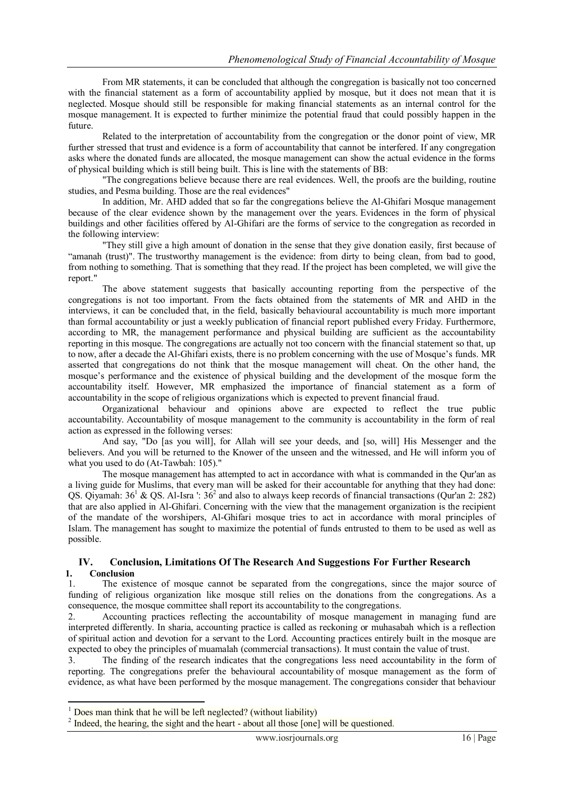From MR statements, it can be concluded that although the congregation is basically not too concerned with the financial statement as a form of accountability applied by mosque, but it does not mean that it is neglected. Mosque should still be responsible for making financial statements as an internal control for the mosque management. It is expected to further minimize the potential fraud that could possibly happen in the future.

Related to the interpretation of accountability from the congregation or the donor point of view, MR further stressed that trust and evidence is a form of accountability that cannot be interfered. If any congregation asks where the donated funds are allocated, the mosque management can show the actual evidence in the forms of physical building which is still being built. This is line with the statements of BB:

"The congregations believe because there are real evidences. Well, the proofs are the building, routine studies, and Pesma building. Those are the real evidences"

In addition, Mr. AHD added that so far the congregations believe the Al-Ghifari Mosque management because of the clear evidence shown by the management over the years. Evidences in the form of physical buildings and other facilities offered by Al-Ghifari are the forms of service to the congregation as recorded in the following interview:

"They still give a high amount of donation in the sense that they give donation easily, first because of "amanah (trust)". The trustworthy management is the evidence: from dirty to being clean, from bad to good, from nothing to something. That is something that they read. If the project has been completed, we will give the report."

The above statement suggests that basically accounting reporting from the perspective of the congregations is not too important. From the facts obtained from the statements of MR and AHD in the interviews, it can be concluded that, in the field, basically behavioural accountability is much more important than formal accountability or just a weekly publication of financial report published every Friday. Furthermore, according to MR, the management performance and physical building are sufficient as the accountability reporting in this mosque. The congregations are actually not too concern with the financial statement so that, up to now, after a decade the Al-Ghifari exists, there is no problem concerning with the use of Mosque's funds. MR asserted that congregations do not think that the mosque management will cheat. On the other hand, the mosque's performance and the existence of physical building and the development of the mosque form the accountability itself. However, MR emphasized the importance of financial statement as a form of accountability in the scope of religious organizations which is expected to prevent financial fraud.

Organizational behaviour and opinions above are expected to reflect the true public accountability. Accountability of mosque management to the community is accountability in the form of real action as expressed in the following verses:

And say, "Do [as you will], for Allah will see your deeds, and [so, will] His Messenger and the believers. And you will be returned to the Knower of the unseen and the witnessed, and He will inform you of what you used to do (At-Tawbah: 105)."

The mosque management has attempted to act in accordance with what is commanded in the Qur'an as a living guide for Muslims, that every man will be asked for their accountable for anything that they had done: QS. Qiyamah:  $36^1$  & QS. Al-Isra ':  $36^2$  and also to always keep records of financial transactions (Qur'an 2: 282) that are also applied in Al-Ghifari. Concerning with the view that the management organization is the recipient of the mandate of the worshipers, Al-Ghifari mosque tries to act in accordance with moral principles of Islam. The management has sought to maximize the potential of funds entrusted to them to be used as well as possible.

# **IV. Conclusion, Limitations Of The Research And Suggestions For Further Research 1. Conclusion**

1. The existence of mosque cannot be separated from the congregations, since the major source of funding of religious organization like mosque still relies on the donations from the congregations. As a consequence, the mosque committee shall report its accountability to the congregations.

2. Accounting practices reflecting the accountability of mosque management in managing fund are interpreted differently. In sharia, accounting practice is called as reckoning or muhasabah which is a reflection of spiritual action and devotion for a servant to the Lord. Accounting practices entirely built in the mosque are expected to obey the principles of muamalah (commercial transactions). It must contain the value of trust.

3. The finding of the research indicates that the congregations less need accountability in the form of reporting. The congregations prefer the behavioural accountability of mosque management as the form of evidence, as what have been performed by the mosque management. The congregations consider that behaviour

1

 $1$  Does man think that he will be left neglected? (without liability)

<sup>2</sup> Indeed, the hearing, the sight and the heart - about all those [one] will be questioned.